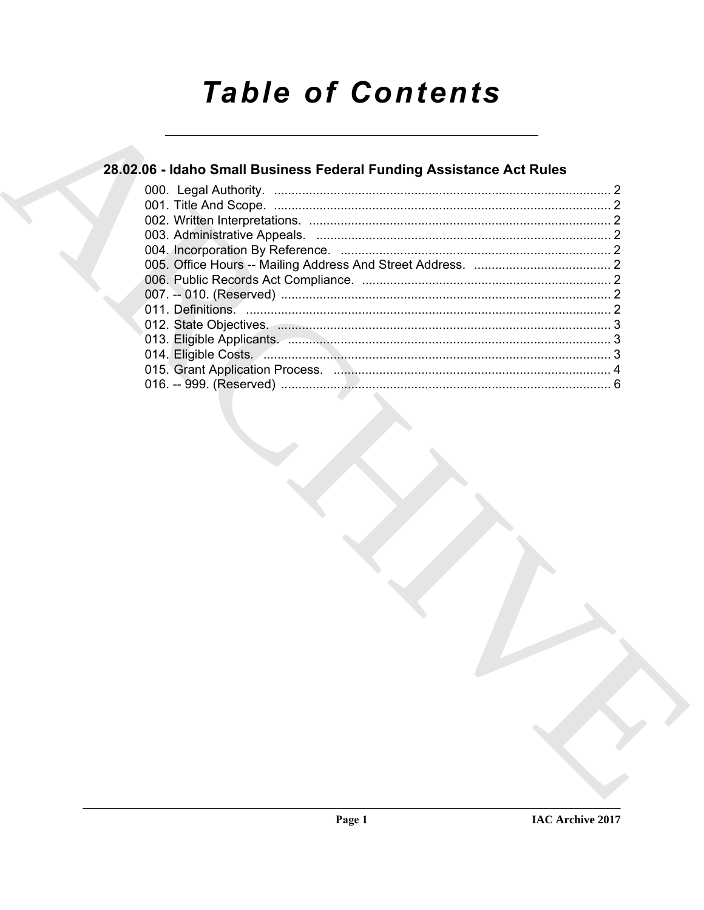# **Table of Contents**

# 28.02.06 - Idaho Small Business Federal Funding Assistance Act Rules

| 011. Definitions. 2011. Definitions. |  |
|--------------------------------------|--|
|                                      |  |
|                                      |  |
|                                      |  |
|                                      |  |
|                                      |  |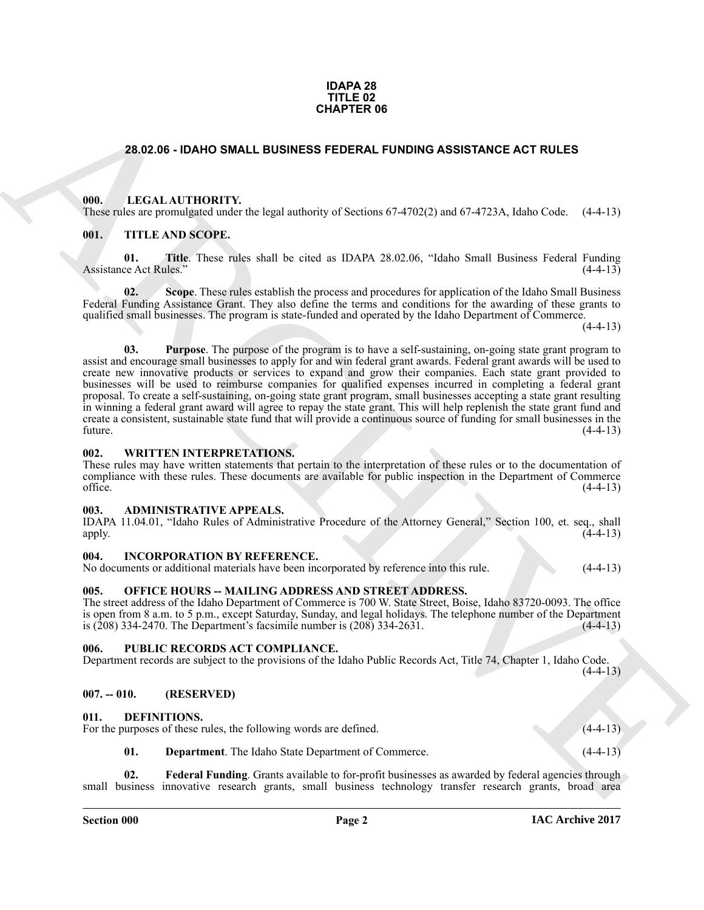#### **IDAPA 28 TITLE 02 CHAPTER 06**

#### <span id="page-1-0"></span>**28.02.06 - IDAHO SMALL BUSINESS FEDERAL FUNDING ASSISTANCE ACT RULES**

#### <span id="page-1-1"></span>**000. LEGAL AUTHORITY.**

These rules are promulgated under the legal authority of Sections 67-4702(2) and 67-4723A, Idaho Code. (4-4-13)

### <span id="page-1-2"></span>**001. TITLE AND SCOPE.**

**01. Title**. These rules shall be cited as IDAPA 28.02.06, "Idaho Small Business Federal Funding Assistance Act Rules." (4-4-13)

**02.** Scope. These rules establish the process and procedures for application of the Idaho Small Business Federal Funding Assistance Grant. They also define the terms and conditions for the awarding of these grants to qualified small businesses. The program is state-funded and operated by the Idaho Department of Commerce.

 $(4-4-13)$ 

**CHAPTER 06**<br> **CHAPTER 06**<br> **CHAPTER ON CONTACT SUGARIZED INTERFERIOR CONTENTS AND SECURE TRIME INTERFERIOR CONTENTS AND INTERFERIOR CONTENTS AND SCIENCISE TRIME INTO SCIENCISE TRIME INTO SCIENCISE TRIME INTO SCIENCISE TR 03. Purpose**. The purpose of the program is to have a self-sustaining, on-going state grant program to assist and encourage small businesses to apply for and win federal grant awards. Federal grant awards will be used to create new innovative products or services to expand and grow their companies. Each state grant provided to businesses will be used to reimburse companies for qualified expenses incurred in completing a federal grant proposal. To create a self-sustaining, on-going state grant program, small businesses accepting a state grant resulting in winning a federal grant award will agree to repay the state grant. This will help replenish the state grant fund and create a consistent, sustainable state fund that will provide a continuous source of funding for small businesses in the future.  $(4-4-13)$ 

#### <span id="page-1-3"></span>**002. WRITTEN INTERPRETATIONS.**

These rules may have written statements that pertain to the interpretation of these rules or to the documentation of compliance with these rules. These documents are available for public inspection in the Department of Commerce  $(4-4-13)$ 

#### <span id="page-1-4"></span>**003. ADMINISTRATIVE APPEALS.**

| IDAPA 11.04.01, "Idaho Rules of Administrative Procedure of the Attorney General," Section 100, et. seq., shall |  |  |  |  |  |            |
|-----------------------------------------------------------------------------------------------------------------|--|--|--|--|--|------------|
| apply.                                                                                                          |  |  |  |  |  | $(4-4-13)$ |

#### <span id="page-1-5"></span>**004. INCORPORATION BY REFERENCE.**

No documents or additional materials have been incorporated by reference into this rule. (4-4-13)

#### <span id="page-1-6"></span>**005. OFFICE HOURS -- MAILING ADDRESS AND STREET ADDRESS.**

The street address of the Idaho Department of Commerce is 700 W. State Street, Boise, Idaho 83720-0093. The office is open from 8 a.m. to 5 p.m., except Saturday, Sunday, and legal holidays. The telephone number of the Department is  $(208)$  334-2470. The Department's facsimile number is  $(208)$  334-2631.

#### <span id="page-1-7"></span>**006. PUBLIC RECORDS ACT COMPLIANCE.**

Department records are subject to the provisions of the Idaho Public Records Act, Title 74, Chapter 1, Idaho Code.  $(4-4-13)$ 

#### <span id="page-1-8"></span>**007. -- 010. (RESERVED)**

#### <span id="page-1-10"></span><span id="page-1-9"></span>**011. DEFINITIONS.**

For the purposes of these rules, the following words are defined. (4-4-13)

<span id="page-1-12"></span><span id="page-1-11"></span>**01. Department**. The Idaho State Department of Commerce. (4-4-13)

**02. Federal Funding**. Grants available to for-profit businesses as awarded by federal agencies through small business innovative research grants, small business technology transfer research grants, broad area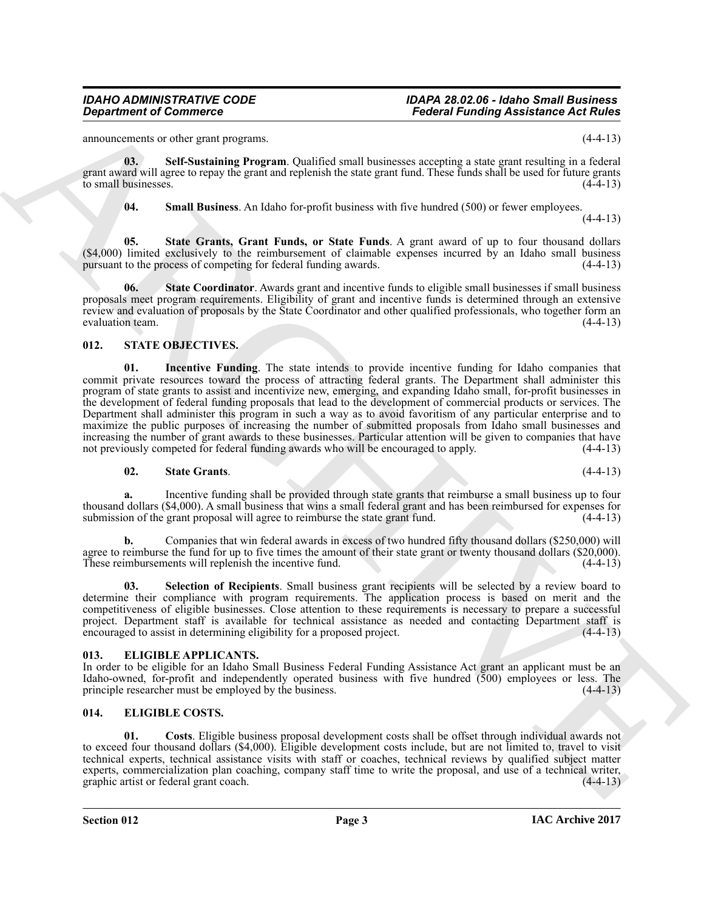announcements or other grant programs. (4-4-13)

**03. Self-Sustaining Program**. Qualified small businesses accepting a state grant resulting in a federal grant award will agree to repay the grant and replenish the state grant fund. These funds shall be used for future grants to small businesses.  $(4-4-13)$ 

<span id="page-2-6"></span><span id="page-2-5"></span><span id="page-2-4"></span><span id="page-2-3"></span>**04. Small Business**. An Idaho for-profit business with five hundred (500) or fewer employees.

 $(4-4-13)$ 

**05. State Grants, Grant Funds, or State Funds**. A grant award of up to four thousand dollars  $(44,000)$  limited exclusively to the reimbursement of claimable expenses incurred by an Idaho small business pursuant to the process of competing for federal funding awards.  $(4-4-13)$ pursuant to the process of competing for federal funding awards.

**06.** State Coordinator. Awards grant and incentive funds to eligible small businesses if small business proposals meet program requirements. Eligibility of grant and incentive funds is determined through an extensive review and evaluation of proposals by the State Coordinator and other qualified professionals, who together form an evaluation team.

#### <span id="page-2-11"></span><span id="page-2-10"></span><span id="page-2-0"></span>**012. STATE OBJECTIVES.**

*General formation* **From the same of propagation**  $\vec{B} = \vec{B}$  and  $\vec{B} = \vec{B}$  and  $\vec{B} = \vec{B}$  and  $\vec{B} = \vec{B}$  and  $\vec{B} = \vec{B}$  and  $\vec{B} = \vec{B}$  and  $\vec{B} = \vec{B}$  and  $\vec{B} = \vec{B}$  and  $\vec{B} = \vec{B}$  and  $\vec{B}$ **01. Incentive Funding**. The state intends to provide incentive funding for Idaho companies that commit private resources toward the process of attracting federal grants. The Department shall administer this program of state grants to assist and incentivize new, emerging, and expanding Idaho small, for-profit businesses in the development of federal funding proposals that lead to the development of commercial products or services. The Department shall administer this program in such a way as to avoid favoritism of any particular enterprise and to maximize the public purposes of increasing the number of submitted proposals from Idaho small businesses and increasing the number of grant awards to these businesses. Particular attention will be given to companies that have not previously competed for federal funding awards who will be encouraged to apply. (4-4-13) not previously competed for federal funding awards who will be encouraged to apply.

#### <span id="page-2-13"></span>**02. State Grants**. (4-4-13)

**a.** Incentive funding shall be provided through state grants that reimburse a small business up to four thousand dollars (\$4,000). A small business that wins a small federal grant and has been reimbursed for expenses for submission of the grant proposal will agree to reimburse the state grant fund. (4-4-13)

**b.** Companies that win federal awards in excess of two hundred fifty thousand dollars (\$250,000) will agree to reimburse the fund for up to five times the amount of their state grant or twenty thousand dollars (\$20,000).<br>These reimbursements will replenish the incentive fund. (4-4-13) These reimbursements will replenish the incentive fund.

<span id="page-2-12"></span>**03. Selection of Recipients**. Small business grant recipients will be selected by a review board to determine their compliance with program requirements. The application process is based on merit and the competitiveness of eligible businesses. Close attention to these requirements is necessary to prepare a successful project. Department staff is available for technical assistance as needed and contacting Department staff is encouraged to assist in determining eligibility for a proposed project. (4-4-13) encouraged to assist in determining eligibility for a proposed project.

### <span id="page-2-7"></span><span id="page-2-1"></span>**013. ELIGIBLE APPLICANTS.**

In order to be eligible for an Idaho Small Business Federal Funding Assistance Act grant an applicant must be an Idaho-owned, for-profit and independently operated business with five hundred (500) employees or less. The principle researcher must be employed by the business. (4-4-13)

### <span id="page-2-8"></span><span id="page-2-2"></span>**014. ELIGIBLE COSTS.**

<span id="page-2-9"></span>**01. Costs**. Eligible business proposal development costs shall be offset through individual awards not to exceed four thousand dollars (\$4,000). Eligible development costs include, but are not limited to, travel to visit technical experts, technical assistance visits with staff or coaches, technical reviews by qualified subject matter experts, commercialization plan coaching, company staff time to write the proposal, and use of a technical writer, graphic artist or federal grant coach. (4-4-13) graphic artist or federal grant coach.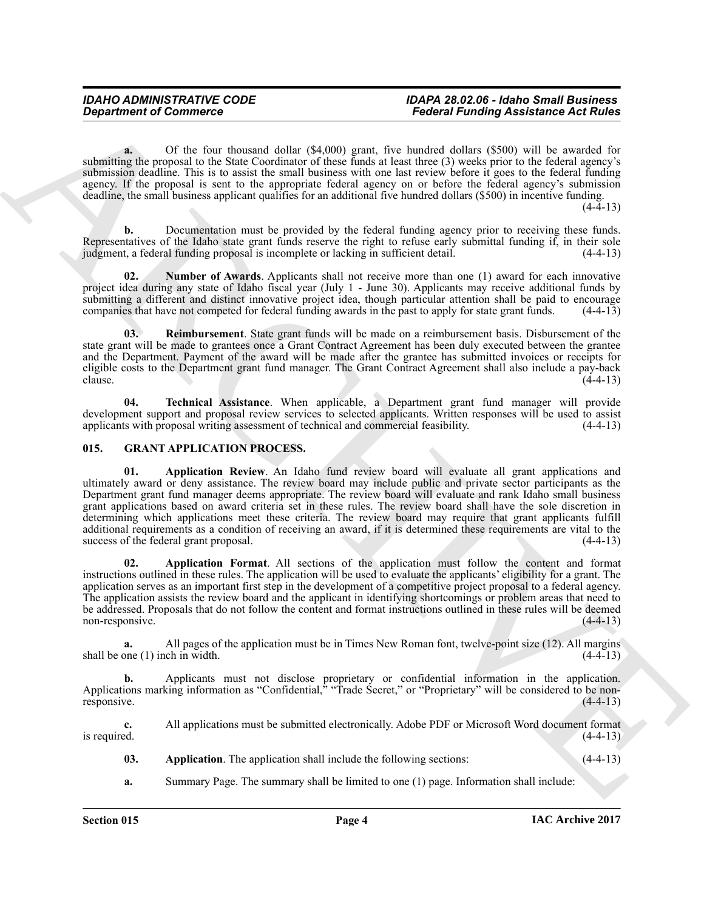#### *IDAHO ADMINISTRATIVE CODE IDAPA 28.02.06 - Idaho Small Business*  **Federal Funding Assistance Act Rules**

**a.** Of the four thousand dollar (\$4,000) grant, five hundred dollars (\$500) will be awarded for submitting the proposal to the State Coordinator of these funds at least three (3) weeks prior to the federal agency's submission deadline. This is to assist the small business with one last review before it goes to the federal funding agency. If the proposal is sent to the appropriate federal agency on or before the federal agency's submission deadline, the small business applicant qualifies for an additional five hundred dollars (\$500) in incentive funding.  $(4-4-13)$ 

**b.** Documentation must be provided by the federal funding agency prior to receiving these funds. Representatives of the Idaho state grant funds reserve the right to refuse early submittal funding if, in their sole judgment, a federal funding proposal is incomplete or lacking in sufficient detail.  $(4-4-13)$ judgment, a federal funding proposal is incomplete or lacking in sufficient detail.

<span id="page-3-1"></span>**02. Number of Awards**. Applicants shall not receive more than one (1) award for each innovative project idea during any state of Idaho fiscal year (July 1 - June 30). Applicants may receive additional funds by submitting a different and distinct innovative project idea, though particular attention shall be paid to encourage companies that have not competed for federal funding awards in the past to apply for state grant funds. (4 companies that have not competed for federal funding awards in the past to apply for state grant funds.

<span id="page-3-2"></span>**03. Reimbursement**. State grant funds will be made on a reimbursement basis. Disbursement of the state grant will be made to grantees once a Grant Contract Agreement has been duly executed between the grantee and the Department. Payment of the award will be made after the grantee has submitted invoices or receipts for eligible costs to the Department grant fund manager. The Grant Contract Agreement shall also include a pay-back clause.  $(4-4-13)$ 

<span id="page-3-3"></span>**04. Technical Assistance**. When applicable, a Department grant fund manager will provide development support and proposal review services to selected applicants. Written responses will be used to assist applicants with proposal writing assessment of technical and commercial feasibility. (4-4-13) applicants with proposal writing assessment of technical and commercial feasibility.

### <span id="page-3-7"></span><span id="page-3-4"></span><span id="page-3-0"></span>**015. GRANT APPLICATION PROCESS.**

**Department of Commerce <br>
Second Kunding Assistance Act Rules<br>
Second Kunding Schultz (S100) gam Leve Machine Commerce Act Rules<br>
Method of the Commerce Act Rules<br>
Method of the Commerce Act Rules<br>
Method of the Commerce 01. Application Review**. An Idaho fund review board will evaluate all grant applications and ultimately award or deny assistance. The review board may include public and private sector participants as the Department grant fund manager deems appropriate. The review board will evaluate and rank Idaho small business grant applications based on award criteria set in these rules. The review board shall have the sole discretion in determining which applications meet these criteria. The review board may require that grant applicants fulfill additional requirements as a condition of receiving an award, if it is determined these requirements are vital to the success of the federal grant proposal. (4-4-13) success of the federal grant proposal.

<span id="page-3-6"></span>**02. Application Format**. All sections of the application must follow the content and format instructions outlined in these rules. The application will be used to evaluate the applicants' eligibility for a grant. The application serves as an important first step in the development of a competitive project proposal to a federal agency. The application assists the review board and the applicant in identifying shortcomings or problem areas that need to be addressed. Proposals that do not follow the content and format instructions outlined in these rules will be deemed non-responsive. (4-4-13)

**a.** All pages of the application must be in Times New Roman font, twelve-point size (12). All margins one (1) inch in width. (4-4-13) shall be one  $(1)$  inch in width.

**b.** Applicants must not disclose proprietary or confidential information in the application. Applications marking information as "Confidential," "Trade Secret," or "Proprietary" will be considered to be nonresponsive. (4-4-13)

**c.** All applications must be submitted electronically. Adobe PDF or Microsoft Word document format is required.  $(4-4-13)$ is required.  $(4-4-13)$ 

- <span id="page-3-5"></span>**03.** Application. The application shall include the following sections: (4-4-13)
- **a.** Summary Page. The summary shall be limited to one (1) page. Information shall include: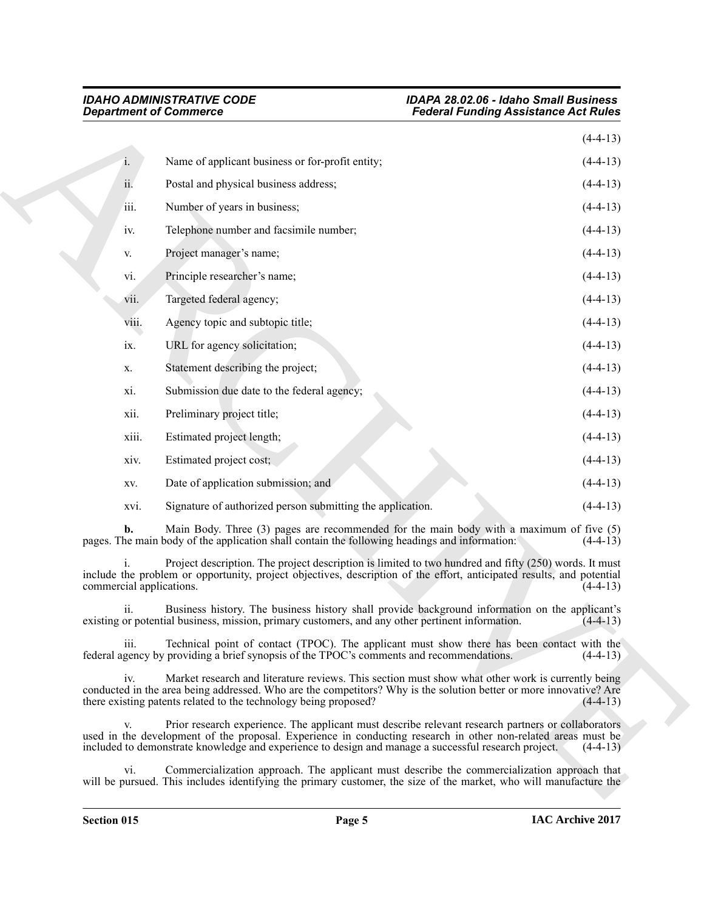| <b>Department of Commerce</b> |                                                                                                                                                                                                                                                                                                                             | <b>Federal Funding Assistance Act Rules</b>                                                                       |
|-------------------------------|-----------------------------------------------------------------------------------------------------------------------------------------------------------------------------------------------------------------------------------------------------------------------------------------------------------------------------|-------------------------------------------------------------------------------------------------------------------|
|                               |                                                                                                                                                                                                                                                                                                                             | $(4-4-13)$                                                                                                        |
| 1.                            | Name of applicant business or for-profit entity;                                                                                                                                                                                                                                                                            | $(4-4-13)$                                                                                                        |
| ii.                           | Postal and physical business address;                                                                                                                                                                                                                                                                                       | $(4-4-13)$                                                                                                        |
| iii.                          | Number of years in business;                                                                                                                                                                                                                                                                                                | $(4-4-13)$                                                                                                        |
| iv.                           | Telephone number and facsimile number;                                                                                                                                                                                                                                                                                      | $(4-4-13)$                                                                                                        |
| V.                            | Project manager's name;                                                                                                                                                                                                                                                                                                     | $(4-4-13)$                                                                                                        |
| vi.                           | Principle researcher's name;                                                                                                                                                                                                                                                                                                | $(4-4-13)$                                                                                                        |
| vii.                          | Targeted federal agency;                                                                                                                                                                                                                                                                                                    | $(4-4-13)$                                                                                                        |
| viii.                         | Agency topic and subtopic title;                                                                                                                                                                                                                                                                                            | $(4-4-13)$                                                                                                        |
| ix.                           | URL for agency solicitation;                                                                                                                                                                                                                                                                                                | $(4-4-13)$                                                                                                        |
| X.                            | Statement describing the project;                                                                                                                                                                                                                                                                                           | $(4-4-13)$                                                                                                        |
| xi.                           | Submission due date to the federal agency;                                                                                                                                                                                                                                                                                  | $(4-4-13)$                                                                                                        |
| xii.                          | Preliminary project title;                                                                                                                                                                                                                                                                                                  | $(4-4-13)$                                                                                                        |
| xiii.                         | Estimated project length;                                                                                                                                                                                                                                                                                                   | $(4-4-13)$                                                                                                        |
| xiv.                          | Estimated project cost;                                                                                                                                                                                                                                                                                                     | $(4-4-13)$                                                                                                        |
| XV.                           | Date of application submission; and                                                                                                                                                                                                                                                                                         | $(4-4-13)$                                                                                                        |
| xvi.                          | Signature of authorized person submitting the application.                                                                                                                                                                                                                                                                  | $(4-4-13)$                                                                                                        |
| b.                            | Main Body. Three (3) pages are recommended for the main body with a maximum of five (5)<br>pages. The main body of the application shall contain the following headings and information:                                                                                                                                    | $(4-4-13)$                                                                                                        |
| commercial applications.      | Project description. The project description is limited to two hundred and fifty (250) words. It must<br>include the problem or opportunity, project objectives, description of the effort, anticipated results, and potential                                                                                              | $(4-4-13)$                                                                                                        |
| 11.                           | Business history. The business history shall provide background information on the applicant's<br>existing or potential business, mission, primary customers, and any other pertinent information.                                                                                                                          | $(4-4-13)$                                                                                                        |
| iii.                          | Technical point of contact (TPOC). The applicant must show there has been contact with the<br>federal agency by providing a brief synopsis of the TPOC's comments and recommendations.                                                                                                                                      | $(4-4-13)$                                                                                                        |
| iv.                           | Market research and literature reviews. This section must show what other work is currently being<br>conducted in the area being addressed. Who are the competitors? Why is the solution better or more innovative? Are<br>there existing patents related to the technology being proposed?                                 | $(4-4-13)$                                                                                                        |
| V.                            | Prior research experience. The applicant must describe relevant research partners or collaborators<br>used in the development of the proposal. Experience in conducting research in other non-related areas must be<br>included to demonstrate knowledge and experience to design and manage a successful research project. | $(4-4-13)$                                                                                                        |
| vi.                           | Commercialization approach. The applicant must describe the commercialization approach that                                                                                                                                                                                                                                 | will be pursued. This includes identifying the primary customer, the size of the market, who will manufacture the |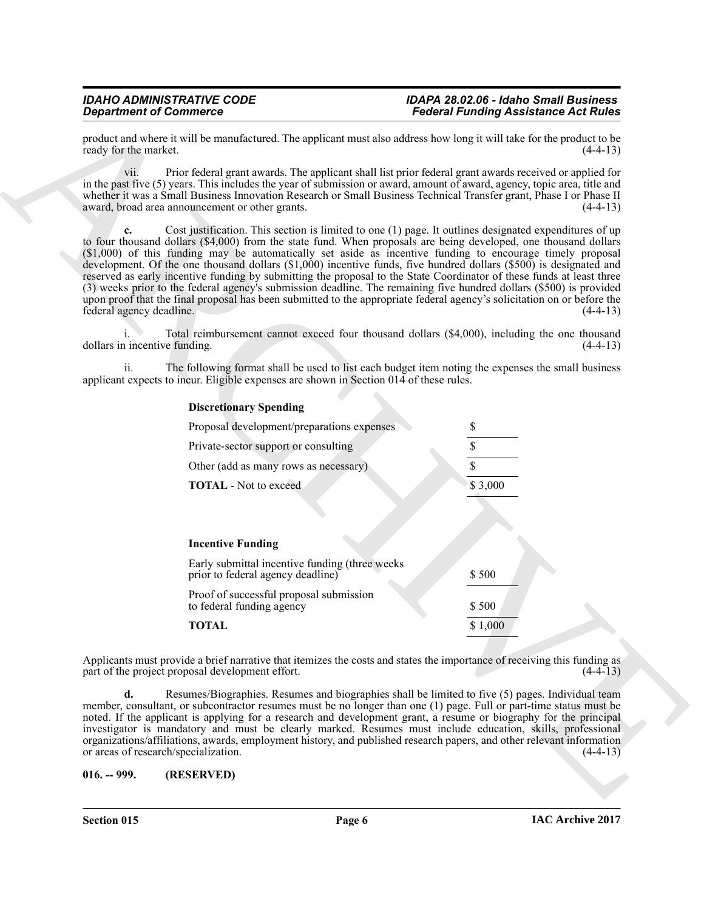product and where it will be manufactured. The applicant must also address how long it will take for the product to be ready for the market.

vii. Prior federal grant awards. The applicant shall list prior federal grant awards received or applied for in the past five (5) years. This includes the year of submission or award, amount of award, agency, topic area, title and whether it was a Small Business Innovation Research or Small Business Technical Transfer grant, Phase I or Phase II award, broad area announcement or other grants. award, broad area announcement or other grants.

**Experiment of Construction Constrainers**<br> **Product that should be a statement of the constrainers** and the spherical statement of the statement of the statement of the statement of the statement of the statement of the s **c.** Cost justification. This section is limited to one (1) page. It outlines designated expenditures of up to four thousand dollars (\$4,000) from the state fund. When proposals are being developed, one thousand dollars (\$1,000) of this funding may be automatically set aside as incentive funding to encourage timely proposal development. Of the one thousand dollars (\$1,000) incentive funds, five hundred dollars (\$500) is designated and reserved as early incentive funding by submitting the proposal to the State Coordinator of these funds at least three (3) weeks prior to the federal agency's submission deadline. The remaining five hundred dollars (\$500) is provided upon proof that the final proposal has been submitted to the appropriate federal agency's solicitation on or before the federal agency deadline. (4-4-13)

i. Total reimbursement cannot exceed four thousand dollars (\$4,000), including the one thousand dollars in incentive funding. (4-4-13)

ii. The following format shall be used to list each budget item noting the expenses the small business applicant expects to incur. Eligible expenses are shown in Section 014 of these rules.

#### **Discretionary Spending**

| Proposal development/preparations expenses |         |
|--------------------------------------------|---------|
| Private-sector support or consulting       |         |
| Other (add as many rows as necessary)      |         |
| <b>TOTAL</b> - Not to exceed               | \$3,000 |
|                                            |         |
| <b>Incentive Funding</b>                   |         |

| Early submittal incentive funding (three weeks)<br>prior to federal agency deadline) | \$500   |
|--------------------------------------------------------------------------------------|---------|
| Proof of successful proposal submission<br>to federal funding agency                 | \$500   |
| <b>TOTAL</b>                                                                         | \$1,000 |

Applicants must provide a brief narrative that itemizes the costs and states the importance of receiving this funding as part of the project proposal development effort. (4-4-13) part of the project proposal development effort.

**d.** Resumes/Biographies. Resumes and biographies shall be limited to five (5) pages. Individual team member, consultant, or subcontractor resumes must be no longer than one (1) page. Full or part-time status must be noted. If the applicant is applying for a research and development grant, a resume or biography for the principal investigator is mandatory and must be clearly marked. Resumes must include education, skills, professional organizations/affiliations, awards, employment history, and published research papers, and other relevant information or areas of research/specialization. (4-4-13)

#### <span id="page-5-0"></span>**016. -- 999. (RESERVED)**